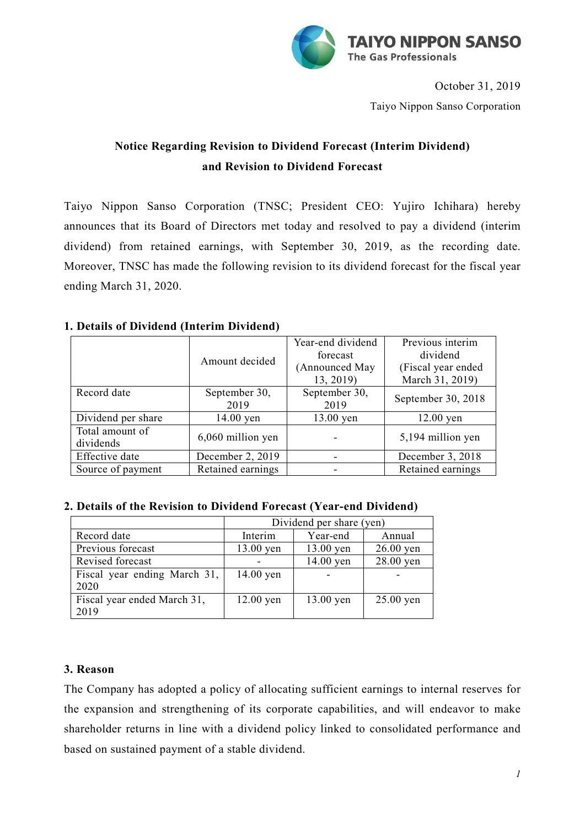

October 31, 2019 Taiyo Nippon Sanso Corporation

## **Notice Regarding Revision to Dividend Forecast (Interim Dividend) and Revision to Dividend Forecast**

Taiyo Nippon Sanso Corporation (TNSC; President CEO: Yujiro Ichihara) hereby announces that its Board of Directors met today and resolved to pay a dividend (interim dividend) from retained earnings, with September 30, 2019, as the recording date. Moreover, TNSC has made the following revision to its dividend forecast for the fiscal year ending March 31, 2020.

## **1. Details of Dividend (Interim Dividend)**

|                    |                   | Year-end dividend | Previous interim   |  |
|--------------------|-------------------|-------------------|--------------------|--|
|                    | Amount decided    | forecast          | dividend           |  |
|                    |                   | (Announced May    | (Fiscal year ended |  |
|                    |                   | 13, 2019)         | March 31, 2019)    |  |
| Record date        | September 30,     | September 30,     | September 30, 2018 |  |
|                    | 2019              | 2019              |                    |  |
| Dividend per share | $14.00$ yen       | 13.00 yen         | $12.00$ yen        |  |
| Total amount of    |                   |                   |                    |  |
| dividends          | 6,060 million yen |                   | 5,194 million yen  |  |
| Effective date     | December 2, 2019  |                   | December 3, 2018   |  |
| Source of payment  | Retained earnings |                   | Retained earnings  |  |

## **2. Details of the Revision to Dividend Forecast (Year-end Dividend)**

|                              | Dividend per share (yen) |             |             |
|------------------------------|--------------------------|-------------|-------------|
| Record date                  | Interim                  | Year-end    | Annual      |
| Previous forecast            | 13.00 yen                | $13.00$ yen | $26.00$ yen |
| Revised forecast             |                          | 14.00 yen   | 28.00 yen   |
| Fiscal year ending March 31, | $14.00$ yen              |             |             |
| 2020                         |                          |             |             |
| Fiscal year ended March 31,  | $12.00$ yen              | 13.00 yen   | $25.00$ yen |
| 2019                         |                          |             |             |

## **3. Reason**

The Company has adopted a policy of allocating sufficient earnings to internal reserves for the expansion and strengthening of its corporate capabilities, and will endeavor to make shareholder returns in line with a dividend policy linked to consolidated performance and based on sustained payment of a stable dividend.